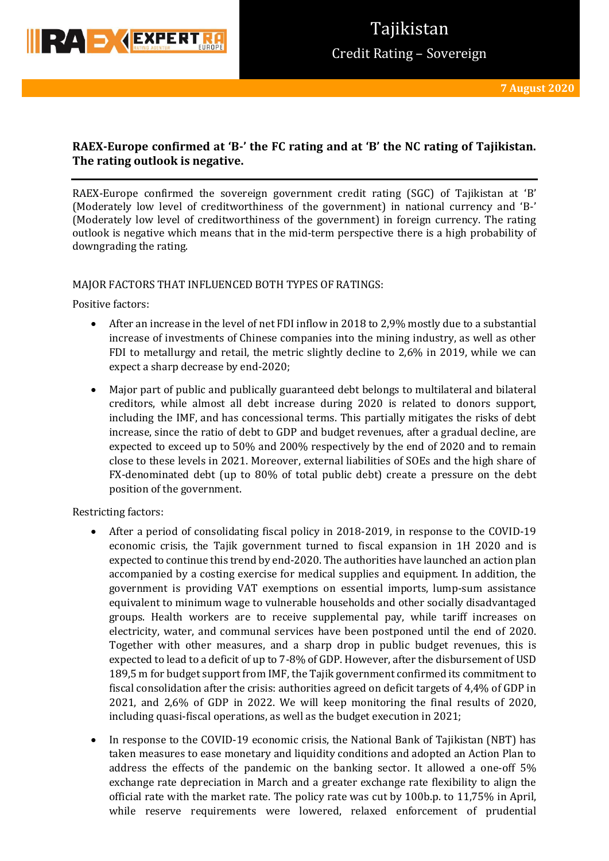

## **RAEX-Europe confirmed at 'B-' the FC rating and at 'B' the NC rating of Tajikistan. The rating outlook is negative.**

RAEX-Europe confirmed the sovereign government credit rating (SGC) of Tajikistan at 'B' (Moderately low level of creditworthiness of the government) in national currency and 'B-' (Moderately low level of creditworthiness of the government) in foreign currency. The rating outlook is negative which means that in the mid-term perspective there is a high probability of downgrading the rating.

### MAJOR FACTORS THAT INFLUENCED BOTH TYPES OF RATINGS:

Positive factors:

- After an increase in the level of net FDI inflow in 2018 to 2,9% mostly due to a substantial increase of investments of Chinese companies into the mining industry, as well as other FDI to metallurgy and retail, the metric slightly decline to 2,6% in 2019, while we can expect a sharp decrease by end-2020;
- Major part of public and publically guaranteed debt belongs to multilateral and bilateral creditors, while almost all debt increase during 2020 is related to donors support, including the IMF, and has concessional terms. This partially mitigates the risks of debt increase, since the ratio of debt to GDP and budget revenues, after a gradual decline, are expected to exceed up to 50% and 200% respectively by the end of 2020 and to remain close to these levels in 2021. Moreover, external liabilities of SOEs and the high share of FX-denominated debt (up to 80% of total public debt) create a pressure on the debt position of the government.

Restricting factors:

- After a period of consolidating fiscal policy in 2018-2019, in response to the COVID-19 economic crisis, the Tajik government turned to fiscal expansion in 1H 2020 and is expected to continue this trend by end-2020. The authorities have launched an action plan accompanied by a costing exercise for medical supplies and equipment. In addition, the government is providing VAT exemptions on essential imports, lump-sum assistance equivalent to minimum wage to vulnerable households and other socially disadvantaged groups. Health workers are to receive supplemental pay, while tariff increases on electricity, water, and communal services have been postponed until the end of 2020. Together with other measures, and a sharp drop in public budget revenues, this is expected to lead to a deficit of up to 7-8% of GDP. However, after the disbursement of USD 189,5 m for budget support from IMF, the Tajik government confirmed its commitment to fiscal consolidation after the crisis: authorities agreed on deficit targets of 4,4% of GDP in 2021, and 2,6% of GDP in 2022. We will keep monitoring the final results of 2020, including quasi-fiscal operations, as well as the budget execution in 2021;
- In response to the COVID-19 economic crisis, the National Bank of Tajikistan (NBT) has taken measures to ease monetary and liquidity conditions and adopted an Action Plan to address the effects of the pandemic on the banking sector. It allowed a one-off 5% exchange rate depreciation in March and a greater exchange rate flexibility to align the official rate with the market rate. The policy rate was cut by 100b.p. to 11,75% in April, while reserve requirements were lowered, relaxed enforcement of prudential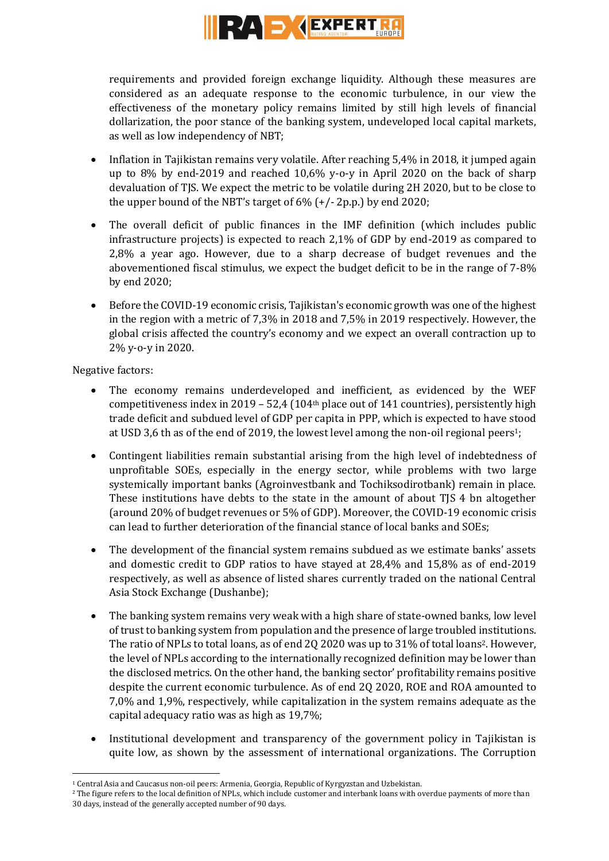

requirements and provided foreign exchange liquidity. Although these measures are considered as an adequate response to the economic turbulence, in our view the effectiveness of the monetary policy remains limited by still high levels of financial dollarization, the poor stance of the banking system, undeveloped local capital markets, as well as low independency of NBT;

- Inflation in Tajikistan remains very volatile. After reaching 5,4% in 2018, it jumped again up to 8% by end-2019 and reached 10,6% y-o-y in April 2020 on the back of sharp devaluation of TJS. We expect the metric to be volatile during 2H 2020, but to be close to the upper bound of the NBT's target of  $6\%$  (+/- 2p.p.) by end 2020;
- The overall deficit of public finances in the IMF definition (which includes public infrastructure projects) is expected to reach 2,1% of GDP by end-2019 as compared to 2,8% a year ago. However, due to a sharp decrease of budget revenues and the abovementioned fiscal stimulus, we expect the budget deficit to be in the range of 7-8% by end 2020;
- Before the COVID-19 economic crisis, Tajikistan's economic growth was one of the highest in the region with a metric of 7,3% in 2018 and 7,5% in 2019 respectively. However, the global crisis affected the country's economy and we expect an overall contraction up to 2% y-o-y in 2020.

Negative factors:

- The economy remains underdeveloped and inefficient, as evidenced by the WEF competitiveness index in 2019 – 52,4 (104<sup>th</sup> place out of 141 countries), persistently high trade deficit and subdued level of GDP per capita in PPP, which is expected to have stood at USD 3,6 th as of the end of 2019, the lowest level among the non-oil regional peers1;
- Contingent liabilities remain substantial arising from the high level of indebtedness of unprofitable SOEs, especially in the energy sector, while problems with two large systemically important banks (Agroinvestbank and Tochiksodirotbank) remain in place. These institutions have debts to the state in the amount of about TIS 4 bn altogether (around 20% of budget revenues or 5% of GDP). Moreover, the COVID-19 economic crisis can lead to further deterioration of the financial stance of local banks and SOEs;
- The development of the financial system remains subdued as we estimate banks' assets and domestic credit to GDP ratios to have stayed at 28,4% and 15,8% as of end-2019 respectively, as well as absence of listed shares currently traded on the national Central Asia Stock Exchange (Dushanbe);
- The banking system remains very weak with a high share of state-owned banks, low level of trust to banking system from population and the presence of large troubled institutions. The ratio of NPLs to total loans, as of end 2Q 2020 was up to 31% of total loans<sup>2</sup>. However, the level of NPLs according to the internationally recognized definition may be lower than the disclosed metrics. On the other hand, the banking sector' profitability remains positive despite the current economic turbulence. As of end 2Q 2020, ROE and ROA amounted to 7,0% and 1,9%, respectively, while capitalization in the system remains adequate as the capital adequacy ratio was as high as 19,7%;
- Institutional development and transparency of the government policy in Tajikistan is quite low, as shown by the assessment of international organizations. The Corruption

**<sup>.</sup>** <sup>1</sup> Central Asia and Caucasus non-oil peers: Armenia, Georgia, Republic of Kyrgyzstan and Uzbekistan.

<sup>&</sup>lt;sup>2</sup> The figure refers to the local definition of NPLs, which include customer and interbank loans with overdue payments of more than 30 days, instead of the generally accepted number of 90 days.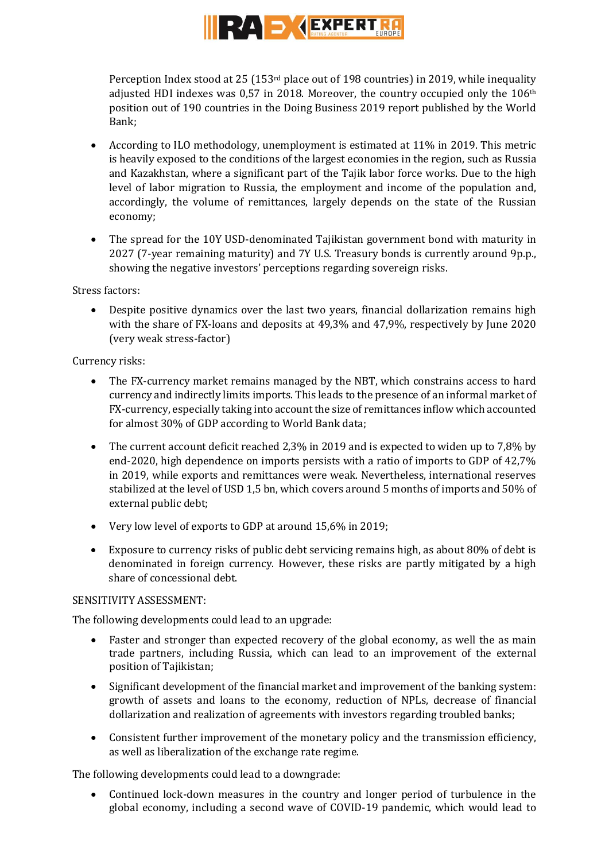

Perception Index stood at 25 (153rd place out of 198 countries) in 2019, while inequality adjusted HDI indexes was  $0.57$  in 2018. Moreover, the country occupied only the  $106$ <sup>th</sup> position out of 190 countries in the Doing Business 2019 report published by the World Bank;

- According to ILO methodology, unemployment is estimated at 11% in 2019. This metric is heavily exposed to the conditions of the largest economies in the region, such as Russia and Kazakhstan, where a significant part of the Tajik labor force works. Due to the high level of labor migration to Russia, the employment and income of the population and, accordingly, the volume of remittances, largely depends on the state of the Russian economy;
- The spread for the 10Y USD-denominated Tajikistan government bond with maturity in 2027 (7-year remaining maturity) and 7Y U.S. Treasury bonds is currently around 9p.p., showing the negative investors' perceptions regarding sovereign risks.

Stress factors:

 Despite positive dynamics over the last two years, financial dollarization remains high with the share of FX-loans and deposits at 49,3% and 47,9%, respectively by June 2020 (very weak stress-factor)

Currency risks:

- The FX-currency market remains managed by the NBT, which constrains access to hard currency and indirectly limits imports. This leads to the presence of an informal market of FX-currency, especially taking into account the size of remittances inflow which accounted for almost 30% of GDP according to World Bank data;
- The current account deficit reached 2,3% in 2019 and is expected to widen up to 7,8% by end-2020, high dependence on imports persists with a ratio of imports to GDP of 42,7% in 2019, while exports and remittances were weak. Nevertheless, international reserves stabilized at the level of USD 1,5 bn, which covers around 5 months of imports and 50% of external public debt;
- Very low level of exports to GDP at around 15,6% in 2019;
- Exposure to currency risks of public debt servicing remains high, as about 80% of debt is denominated in foreign currency. However, these risks are partly mitigated by a high share of concessional debt.

## SENSITIVITY ASSESSMENT:

The following developments could lead to an upgrade:

- Faster and stronger than expected recovery of the global economy, as well the as main trade partners, including Russia, which can lead to an improvement of the external position of Tajikistan;
- Significant development of the financial market and improvement of the banking system: growth of assets and loans to the economy, reduction of NPLs, decrease of financial dollarization and realization of agreements with investors regarding troubled banks;
- Consistent further improvement of the monetary policy and the transmission efficiency, as well as liberalization of the exchange rate regime.

The following developments could lead to a downgrade:

 Continued lock-down measures in the country and longer period of turbulence in the global economy, including a second wave of COVID-19 pandemic, which would lead to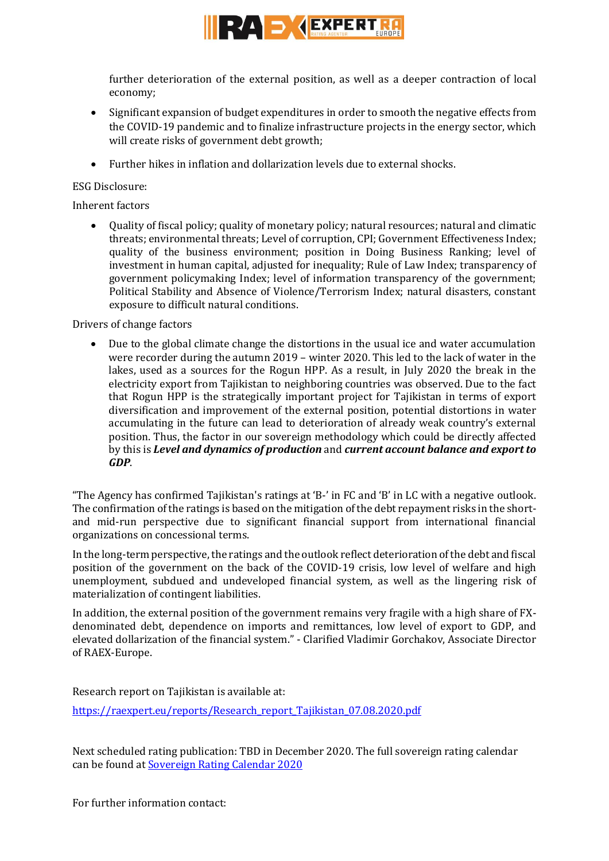

further deterioration of the external position, as well as a deeper contraction of local economy;

- Significant expansion of budget expenditures in order to smooth the negative effects from the COVID-19 pandemic and to finalize infrastructure projects in the energy sector, which will create risks of government debt growth;
- Further hikes in inflation and dollarization levels due to external shocks.

## ESG Disclosure:

Inherent factors

 Quality of fiscal policy; quality of monetary policy; natural resources; natural and climatic threats; environmental threats; Level of corruption, CPI; Government Effectiveness Index; quality of the business environment; position in Doing Business Ranking; level of investment in human capital, adjusted for inequality; Rule of Law Index; transparency of government policymaking Index; level of information transparency of the government; Political Stability and Absence of Violence/Terrorism Index; natural disasters, constant exposure to difficult natural conditions.

Drivers of change factors

 Due to the global climate change the distortions in the usual ice and water accumulation were recorder during the autumn 2019 – winter 2020. This led to the lack of water in the lakes, used as a sources for the Rogun HPP. As a result, in July 2020 the break in the electricity export from Tajikistan to neighboring countries was observed. Due to the fact that Rogun HPP is the strategically important project for Tajikistan in terms of export diversification and improvement of the external position, potential distortions in water accumulating in the future can lead to deterioration of already weak country's external position. Thus, the factor in our sovereign methodology which could be directly affected by this is *Level and dynamics of production* and *current account balance and export to GDP*.

"The Agency has confirmed Tajikistan's ratings at 'B-' in FC and 'B' in LC with a negative outlook. The confirmation of the ratings is based on the mitigation of the debt repayment risks in the shortand mid-run perspective due to significant financial support from international financial organizations on concessional terms.

In the long-term perspective, the ratings and the outlook reflect deterioration of the debt and fiscal position of the government on the back of the COVID-19 crisis, low level of welfare and high unemployment, subdued and undeveloped financial system, as well as the lingering risk of materialization of contingent liabilities.

In addition, the external position of the government remains very fragile with a high share of FXdenominated debt, dependence on imports and remittances, low level of export to GDP, and elevated dollarization of the financial system." - Clarified Vladimir Gorchakov, Associate Director of RAEX-Europe.

Research report on Tajikistan is available at:

[https://raexpert.eu/reports/Research\\_report\\_Tajikistan\\_07.08.2020.pdf](https://raexpert.eu/reports/Research_report_Tajikistan_07.08.2020.pdf)

Next scheduled rating publication: TBD in December 2020. The full sovereign rating calendar can be found at [Sovereign Rating Calendar 2020](https://raexpert.eu/sovereign/#conf-tab-5)

For further information contact: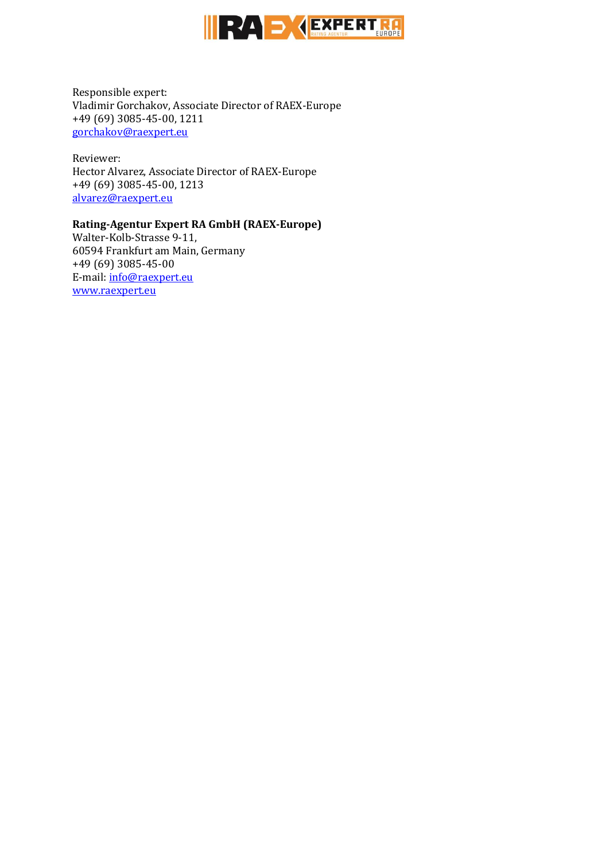

Responsible expert: Vladimir Gorchakov, Associate Director of RAEX-Europe +49 (69) 3085-45-00, 1211 [gorchakov@raexpert.eu](mailto:gorchakov@raexpert.eu)

Reviewer: Hector Alvarez, Associate Director of RAEX-Europe +49 (69) 3085-45-00, 1213 [alvarez@raexpert.eu](mailto:alvarez@raexpert.eu)

### **Rating-Agentur Expert RA GmbH (RAEX-Europe)**

Walter-Kolb-Strasse 9-11, 60594 Frankfurt am Main, Germany +49 (69) 3085-45-00 E-mail[: info@raexpert.eu](mailto:info@raexpert.eu) [www.raexpert.eu](http://raexpert.eu/)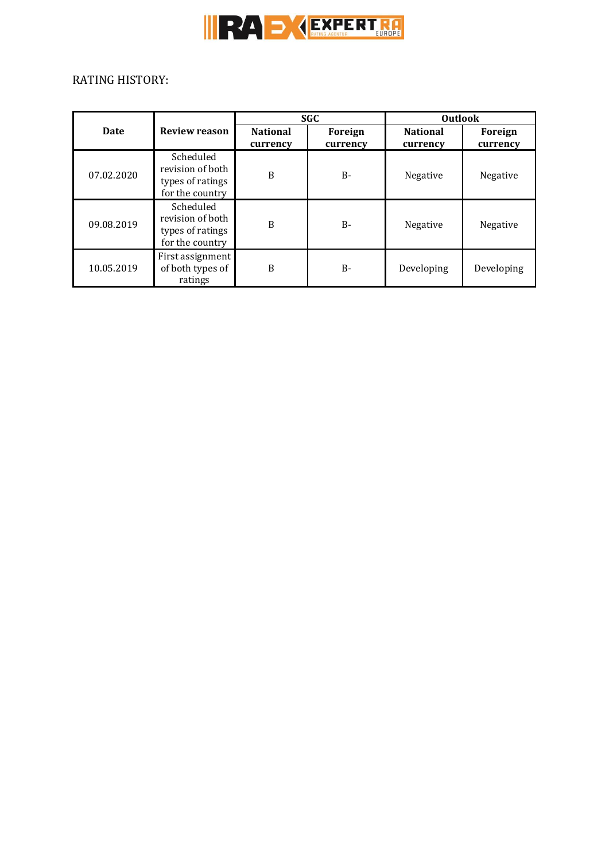

# RATING HISTORY:

| <b>Date</b> | <b>Review reason</b>                                                 | <b>SGC</b>                  |                     | <b>Outlook</b>              |                     |
|-------------|----------------------------------------------------------------------|-----------------------------|---------------------|-----------------------------|---------------------|
|             |                                                                      | <b>National</b><br>currency | Foreign<br>currency | <b>National</b><br>currency | Foreign<br>currency |
| 07.02.2020  | Scheduled<br>revision of both<br>types of ratings<br>for the country | B                           | B-                  | Negative                    | Negative            |
| 09.08.2019  | Scheduled<br>revision of both<br>types of ratings<br>for the country | B                           | $B -$               | Negative                    | Negative            |
| 10.05.2019  | First assignment<br>of both types of<br>ratings                      | B                           | $B -$               | Developing                  | Developing          |